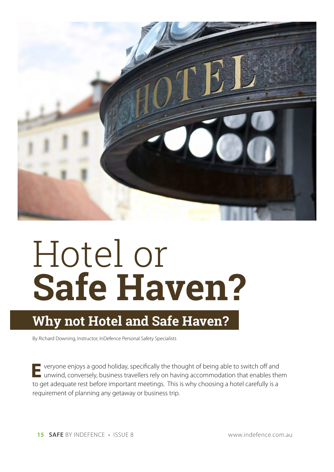

# Hotel or **Safe Haven?**

## **Why not Hotel and Safe Haven?**

By Richard Downing, Instructor, InDefence Personal Safety Specialists

**E** veryone enjoys a good holiday, specifically the thought of being able to switch off and unwind, conversely, business travellers rely on having accommodation that enables them to get adequate rest before important meetings. This is why choosing a hotel carefully is a requirement of planning any getaway or business trip.